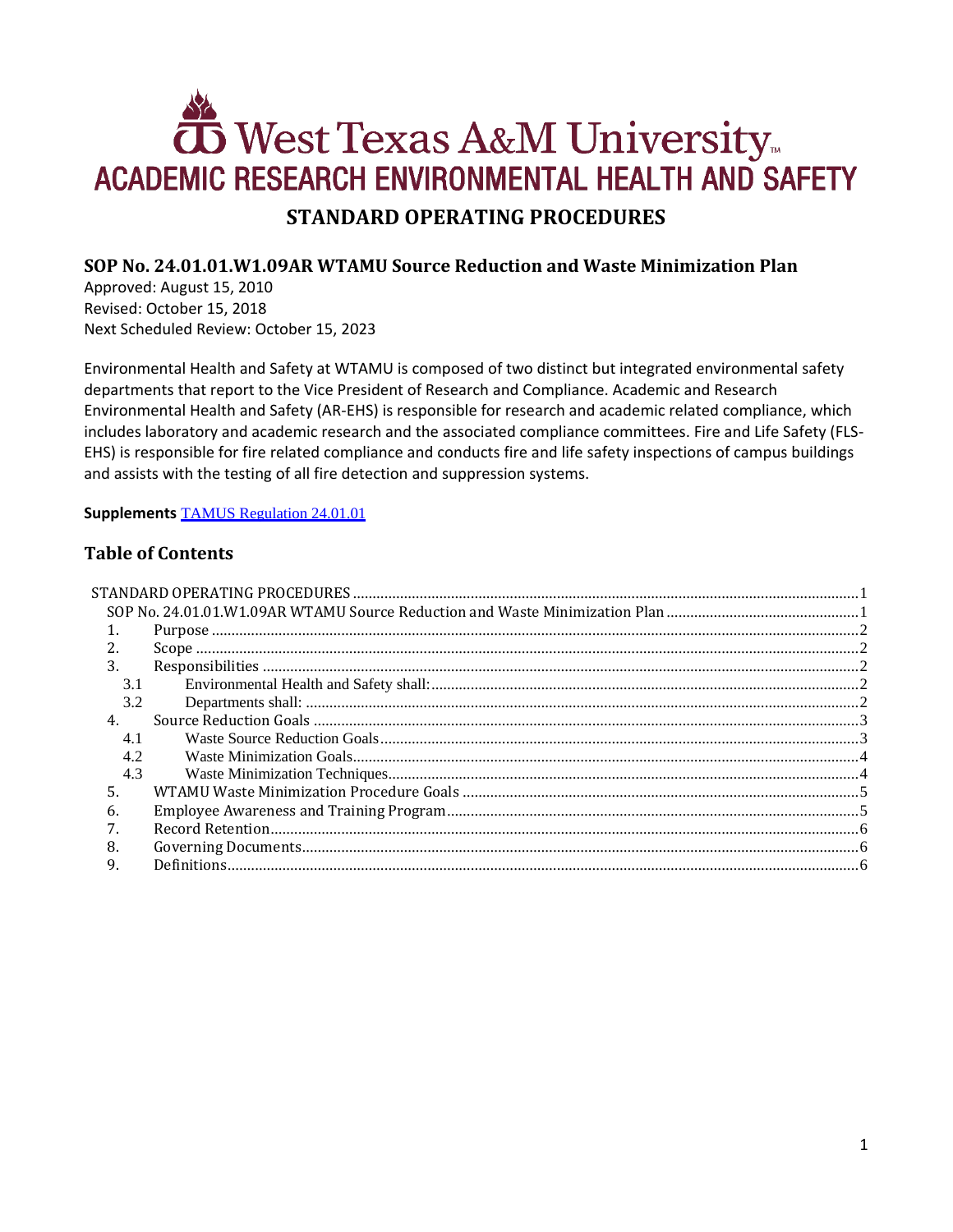# **ED** West Texas A&M University ACADEMIC RESEARCH ENVIRONMENTAL HEALTH AND SAFETY **STANDARD OPERATING PROCEDURES**

## <span id="page-0-1"></span><span id="page-0-0"></span>**SOP No. 24.01.01.W1.09AR WTAMU Source Reduction and Waste Minimization Plan**

Approved: August 15, 2010 Revised: October 15, 2018 Next Scheduled Review: October 15, 2023

Environmental Health and Safety at WTAMU is composed of two distinct but integrated environmental safety departments that report to the Vice President of Research and Compliance. Academic and Research Environmental Health and Safety (AR-EHS) is responsible for research and academic related compliance, which includes laboratory and academic research and the associated compliance committees. Fire and Life Safety (FLS-EHS) is responsible for fire related compliance and conducts fire and life safety inspections of campus buildings and assists with the testing of all fire detection and suppression systems.

**Supplements** [TAMUS Regulation 24.01.01](http://policies.tamus.edu/24-01-01.pdf)

# **Table of Contents**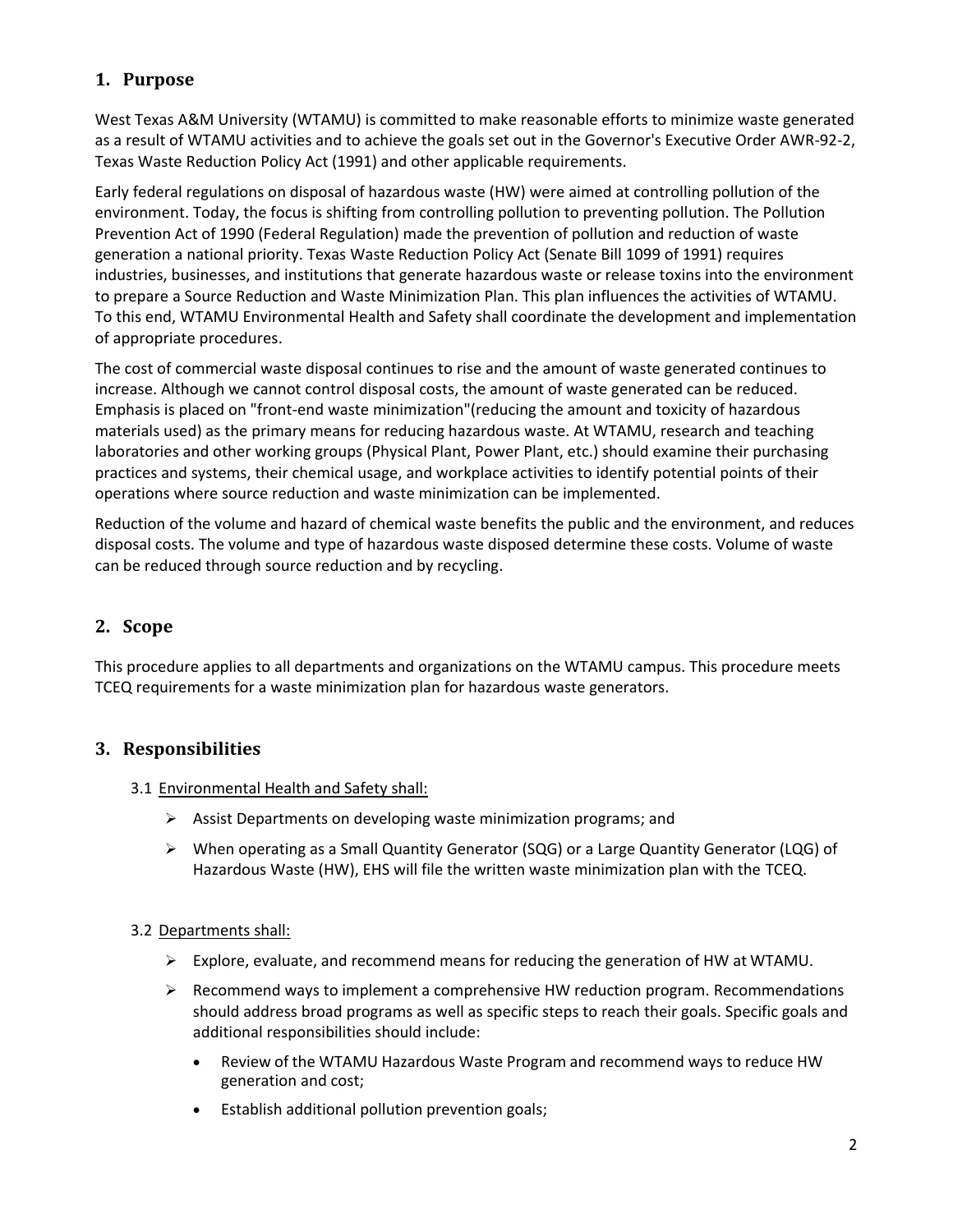# <span id="page-1-0"></span>**1. Purpose**

West Texas A&M University (WTAMU) is committed to make reasonable efforts to minimize waste generated as a result of WTAMU activities and to achieve the goals set out in the Governor's Executive Order AWR-92-2, Texas Waste Reduction Policy Act (1991) and other applicable requirements.

Early federal regulations on disposal of hazardous waste (HW) were aimed at controlling pollution of the environment. Today, the focus is shifting from controlling pollution to preventing pollution. The Pollution Prevention Act of 1990 (Federal Regulation) made the prevention of pollution and reduction of waste generation a national priority. Texas Waste Reduction Policy Act (Senate Bill 1099 of 1991) requires industries, businesses, and institutions that generate hazardous waste or release toxins into the environment to prepare a Source Reduction and Waste Minimization Plan. This plan influences the activities of WTAMU. To this end, WTAMU Environmental Health and Safety shall coordinate the development and implementation of appropriate procedures.

The cost of commercial waste disposal continues to rise and the amount of waste generated continues to increase. Although we cannot control disposal costs, the amount of waste generated can be reduced. Emphasis is placed on "front-end waste minimization"(reducing the amount and toxicity of hazardous materials used) as the primary means for reducing hazardous waste. At WTAMU, research and teaching laboratories and other working groups (Physical Plant, Power Plant, etc.) should examine their purchasing practices and systems, their chemical usage, and workplace activities to identify potential points of their operations where source reduction and waste minimization can be implemented.

Reduction of the volume and hazard of chemical waste benefits the public and the environment, and reduces disposal costs. The volume and type of hazardous waste disposed determine these costs. Volume of waste can be reduced through source reduction and by recycling.

# <span id="page-1-1"></span>**2. Scope**

This procedure applies to all departments and organizations on the WTAMU campus. This procedure meets TCEQ requirements for a waste minimization plan for hazardous waste generators.

# <span id="page-1-2"></span>**3. Responsibilities**

- <span id="page-1-3"></span>3.1 Environmental Health and Safety shall:
	- $\triangleright$  Assist Departments on developing waste minimization programs; and
	- When operating as a Small Quantity Generator (SQG) or a Large Quantity Generator (LQG) of Hazardous Waste (HW), EHS will file the written waste minimization plan with the TCEQ.

#### <span id="page-1-4"></span>3.2 Departments shall:

- $\triangleright$  Explore, evaluate, and recommend means for reducing the generation of HW at WTAMU.
- $\triangleright$  Recommend ways to implement a comprehensive HW reduction program. Recommendations should address broad programs as well as specific steps to reach their goals. Specific goals and additional responsibilities should include:
	- Review of the WTAMU Hazardous Waste Program and recommend ways to reduce HW generation and cost;
	- Establish additional pollution prevention goals;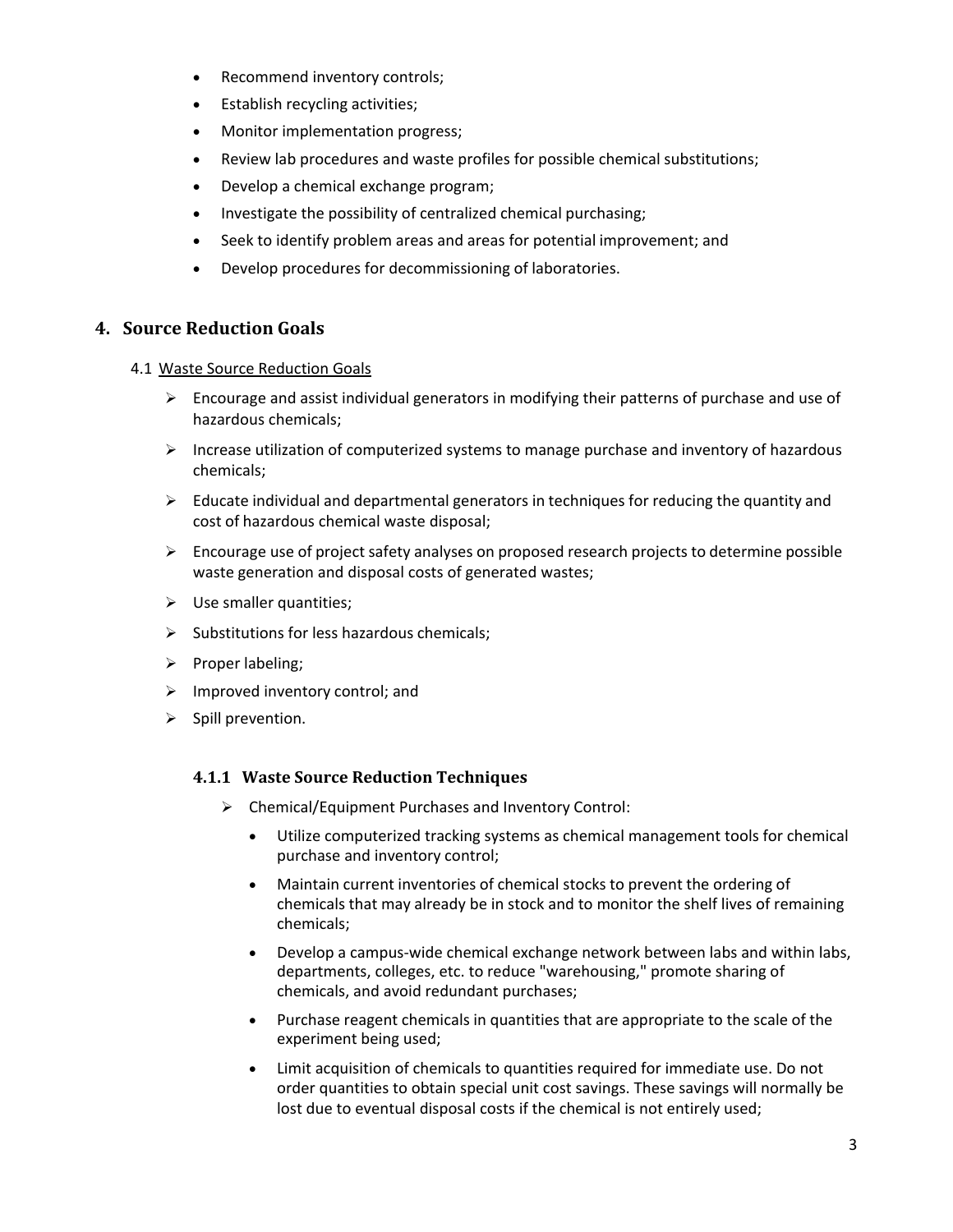- Recommend inventory controls;
- Establish recycling activities;
- Monitor implementation progress;
- Review lab procedures and waste profiles for possible chemical substitutions;
- Develop a chemical exchange program;
- Investigate the possibility of centralized chemical purchasing;
- Seek to identify problem areas and areas for potential improvement; and
- Develop procedures for decommissioning of laboratories.

#### <span id="page-2-0"></span>**4. Source Reduction Goals**

#### <span id="page-2-1"></span>4.1 Waste Source Reduction Goals

- $\triangleright$  Encourage and assist individual generators in modifying their patterns of purchase and use of hazardous chemicals;
- $\triangleright$  Increase utilization of computerized systems to manage purchase and inventory of hazardous chemicals;
- $\triangleright$  Educate individual and departmental generators in techniques for reducing the quantity and cost of hazardous chemical waste disposal;
- $\triangleright$  Encourage use of project safety analyses on proposed research projects to determine possible waste generation and disposal costs of generated wastes;
- $\triangleright$  Use smaller quantities;
- $\triangleright$  Substitutions for less hazardous chemicals;
- $\triangleright$  Proper labeling;
- $\triangleright$  Improved inventory control; and
- $\triangleright$  Spill prevention.

#### **4.1.1 Waste Source Reduction Techniques**

- Chemical/Equipment Purchases and Inventory Control:
	- Utilize computerized tracking systems as chemical management tools for chemical purchase and inventory control;
	- Maintain current inventories of chemical stocks to prevent the ordering of chemicals that may already be in stock and to monitor the shelf lives of remaining chemicals;
	- Develop a campus-wide chemical exchange network between labs and within labs, departments, colleges, etc. to reduce "warehousing," promote sharing of chemicals, and avoid redundant purchases;
	- Purchase reagent chemicals in quantities that are appropriate to the scale of the experiment being used;
	- Limit acquisition of chemicals to quantities required for immediate use. Do not order quantities to obtain special unit cost savings. These savings will normally be lost due to eventual disposal costs if the chemical is not entirely used;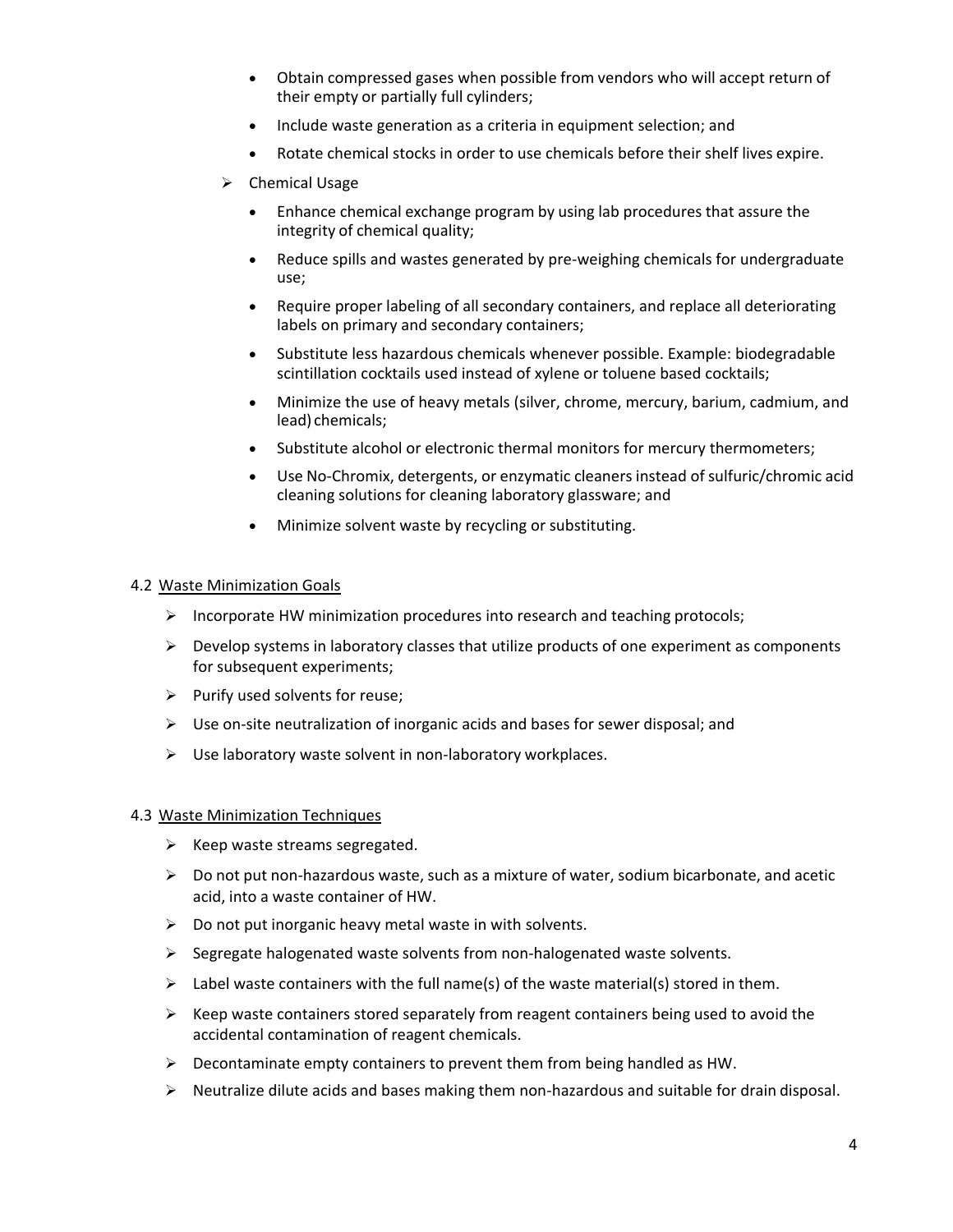- Obtain compressed gases when possible from vendors who will accept return of their empty or partially full cylinders;
- Include waste generation as a criteria in equipment selection; and
- Rotate chemical stocks in order to use chemicals before their shelf lives expire.
- $\triangleright$  Chemical Usage
	- Enhance chemical exchange program by using lab procedures that assure the integrity of chemical quality;
	- Reduce spills and wastes generated by pre-weighing chemicals for undergraduate use;
	- Require proper labeling of all secondary containers, and replace all deteriorating labels on primary and secondary containers;
	- Substitute less hazardous chemicals whenever possible. Example: biodegradable scintillation cocktails used instead of xylene or toluene based cocktails;
	- Minimize the use of heavy metals (silver, chrome, mercury, barium, cadmium, and lead) chemicals;
	- Substitute alcohol or electronic thermal monitors for mercury thermometers;
	- Use No-Chromix, detergents, or enzymatic cleaners instead of sulfuric/chromic acid cleaning solutions for cleaning laboratory glassware; and
	- Minimize solvent waste by recycling or substituting.

#### <span id="page-3-0"></span>4.2 Waste Minimization Goals

- $\triangleright$  Incorporate HW minimization procedures into research and teaching protocols;
- $\triangleright$  Develop systems in laboratory classes that utilize products of one experiment as components for subsequent experiments;
- $\triangleright$  Purify used solvents for reuse;
- $\triangleright$  Use on-site neutralization of inorganic acids and bases for sewer disposal; and
- $\triangleright$  Use laboratory waste solvent in non-laboratory workplaces.

#### <span id="page-3-1"></span>4.3 Waste Minimization Techniques

- $\triangleright$  Keep waste streams segregated.
- $\triangleright$  Do not put non-hazardous waste, such as a mixture of water, sodium bicarbonate, and acetic acid, into a waste container of HW.
- $\triangleright$  Do not put inorganic heavy metal waste in with solvents.
- $\triangleright$  Segregate halogenated waste solvents from non-halogenated waste solvents.
- $\triangleright$  Label waste containers with the full name(s) of the waste material(s) stored in them.
- $\triangleright$  Keep waste containers stored separately from reagent containers being used to avoid the accidental contamination of reagent chemicals.
- $\triangleright$  Decontaminate empty containers to prevent them from being handled as HW.
- $\triangleright$  Neutralize dilute acids and bases making them non-hazardous and suitable for drain disposal.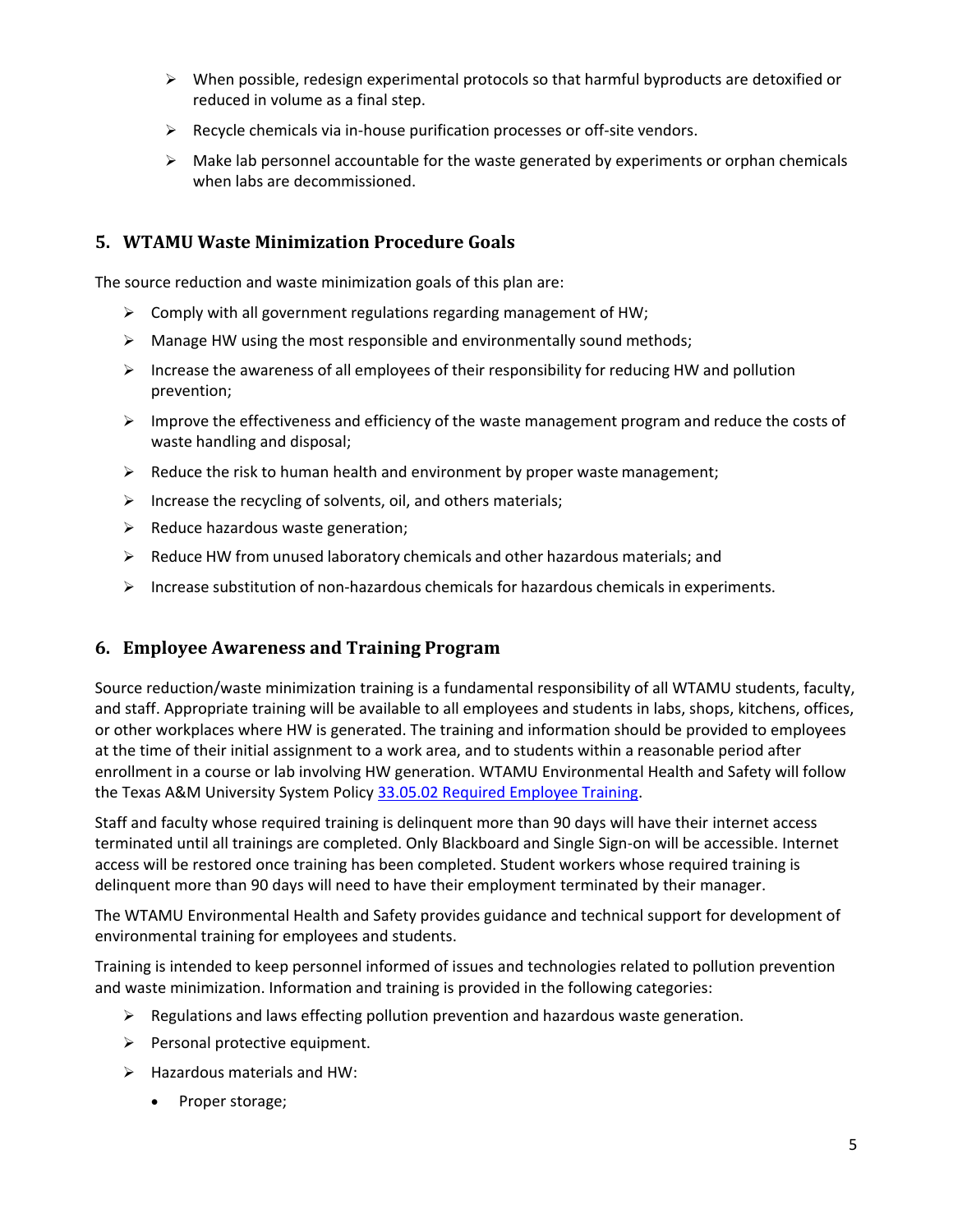- $\triangleright$  When possible, redesign experimental protocols so that harmful byproducts are detoxified or reduced in volume as a final step.
- $\triangleright$  Recycle chemicals via in-house purification processes or off-site vendors.
- $\triangleright$  Make lab personnel accountable for the waste generated by experiments or orphan chemicals when labs are decommissioned.

### <span id="page-4-0"></span>**5. WTAMU Waste Minimization Procedure Goals**

The source reduction and waste minimization goals of this plan are:

- $\triangleright$  Comply with all government regulations regarding management of HW;
- $\triangleright$  Manage HW using the most responsible and environmentally sound methods;
- $\triangleright$  Increase the awareness of all employees of their responsibility for reducing HW and pollution prevention;
- $\triangleright$  Improve the effectiveness and efficiency of the waste management program and reduce the costs of waste handling and disposal;
- $\triangleright$  Reduce the risk to human health and environment by proper waste management;
- $\triangleright$  Increase the recycling of solvents, oil, and others materials;
- $\triangleright$  Reduce hazardous waste generation;
- $\triangleright$  Reduce HW from unused laboratory chemicals and other hazardous materials; and
- $\triangleright$  Increase substitution of non-hazardous chemicals for hazardous chemicals in experiments.

#### <span id="page-4-1"></span>**6. Employee Awareness and Training Program**

Source reduction/waste minimization training is a fundamental responsibility of all WTAMU students, faculty, and staff. Appropriate training will be available to all employees and students in labs, shops, kitchens, offices, or other workplaces where HW is generated. The training and information should be provided to employees at the time of their initial assignment to a work area, and to students within a reasonable period after enrollment in a course or lab involving HW generation. WTAMU Environmental Health and Safety will follow the Texas A&M University System Policy [33.05.02 Required Employee Training.](http://policies.tamus.edu/33-05-02.pdf)

Staff and faculty whose required training is delinquent more than 90 days will have their internet access terminated until all trainings are completed. Only Blackboard and Single Sign-on will be accessible. Internet access will be restored once training has been completed. Student workers whose required training is delinquent more than 90 days will need to have their employment terminated by their manager.

The WTAMU Environmental Health and Safety provides guidance and technical support for development of environmental training for employees and students.

Training is intended to keep personnel informed of issues and technologies related to pollution prevention and waste minimization. Information and training is provided in the following categories:

- $\triangleright$  Regulations and laws effecting pollution prevention and hazardous waste generation.
- $\triangleright$  Personal protective equipment.
- $\triangleright$  Hazardous materials and HW:
	- Proper storage;